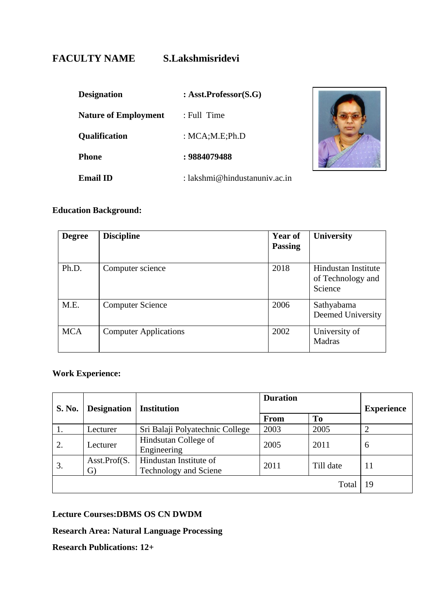# **FACULTY NAME S.Lakshmisridevi**

| <b>Designation</b>          | : $Ask.Professor(S.G)$        |  |
|-----------------------------|-------------------------------|--|
| <b>Nature of Employment</b> | : Full Time                   |  |
| Qualification               | : $MCA;M.E;Ph.D$              |  |
| <b>Phone</b>                | : 9884079488                  |  |
| <b>Email ID</b>             | : lakshmi@hindustanuniv.ac.in |  |



PHOTO

### **Education Background:**

| <b>Degree</b> | <b>Discipline</b>            | <b>Year of</b><br><b>Passing</b> | <b>University</b>                                   |
|---------------|------------------------------|----------------------------------|-----------------------------------------------------|
| Ph.D.         | Computer science             | 2018                             | Hindustan Institute<br>of Technology and<br>Science |
| M.E.          | <b>Computer Science</b>      | 2006                             | Sathyabama<br>Deemed University                     |
| <b>MCA</b>    | <b>Computer Applications</b> | 2002                             | University of<br>Madras                             |

## **Work Experience:**

| <b>S. No.</b> | <b>Designation</b> | <b>Institution</b>                              | <b>Duration</b> |                | <b>Experience</b> |
|---------------|--------------------|-------------------------------------------------|-----------------|----------------|-------------------|
|               |                    |                                                 | <b>From</b>     | T <sub>0</sub> |                   |
| 1.            | Lecturer           | Sri Balaji Polyatechnic College                 | 2003            | 2005           |                   |
| 2.            | Lecturer           | Hindsutan College of<br>Engineering             | 2005            | 2011           | 6                 |
| 3.            | Asst.Prof(S.<br>G) | Hindustan Institute of<br>Technology and Sciene | 2011            | Till date      | 11                |
|               |                    |                                                 |                 | Total          | 19                |

### **Lecture Courses:DBMS OS CN DWDM**

## **Research Area: Natural Language Processing**

**Research Publications: 12+**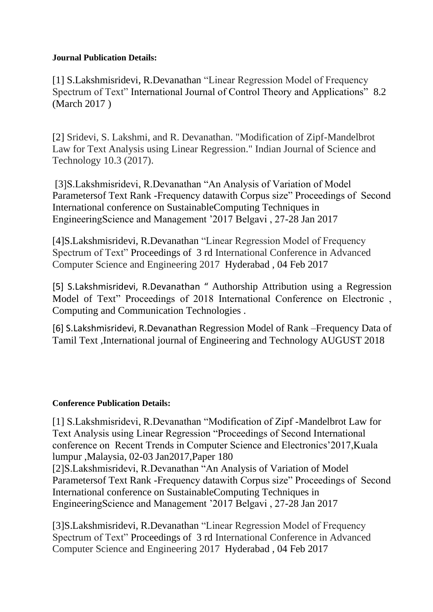### **Journal Publication Details:**

[1] S.Lakshmisridevi, R.Devanathan "Linear Regression Model of Frequency Spectrum of Text" International Journal of Control Theory and Applications" 8.2 (March 2017 )

[2] Sridevi, S. Lakshmi, and R. Devanathan. "Modification of Zipf-Mandelbrot Law for Text Analysis using Linear Regression." Indian Journal of Science and Technology 10.3 (2017).

[3]S.Lakshmisridevi, R.Devanathan "An Analysis of Variation of Model Parametersof Text Rank -Frequency datawith Corpus size" Proceedings of Second International conference on SustainableComputing Techniques in EngineeringScience and Management '2017 Belgavi , 27-28 Jan 2017

[4]S.Lakshmisridevi, R.Devanathan "Linear Regression Model of Frequency Spectrum of Text" Proceedings of 3 rd International Conference in Advanced Computer Science and Engineering 2017 Hyderabad , 04 Feb 2017

[5] S.Lakshmisridevi, R.Devanathan " Authorship Attribution using a Regression Model of Text" Proceedings of 2018 International Conference on Electronic , Computing and Communication Technologies .

[6] S.Lakshmisridevi, R.Devanathan Regression Model of Rank –Frequency Data of Tamil Text ,International journal of Engineering and Technology AUGUST 2018

### **Conference Publication Details:**

[1] S.Lakshmisridevi, R.Devanathan "Modification of Zipf -Mandelbrot Law for Text Analysis using Linear Regression "Proceedings of Second International conference on Recent Trends in Computer Science and Electronics'2017,Kuala lumpur ,Malaysia, 02-03 Jan2017,Paper 180 [2]S.Lakshmisridevi, R.Devanathan "An Analysis of Variation of Model

Parametersof Text Rank -Frequency datawith Corpus size" Proceedings of Second International conference on SustainableComputing Techniques in EngineeringScience and Management '2017 Belgavi , 27-28 Jan 2017

[3]S.Lakshmisridevi, R.Devanathan "Linear Regression Model of Frequency Spectrum of Text" Proceedings of 3 rd International Conference in Advanced Computer Science and Engineering 2017 Hyderabad , 04 Feb 2017